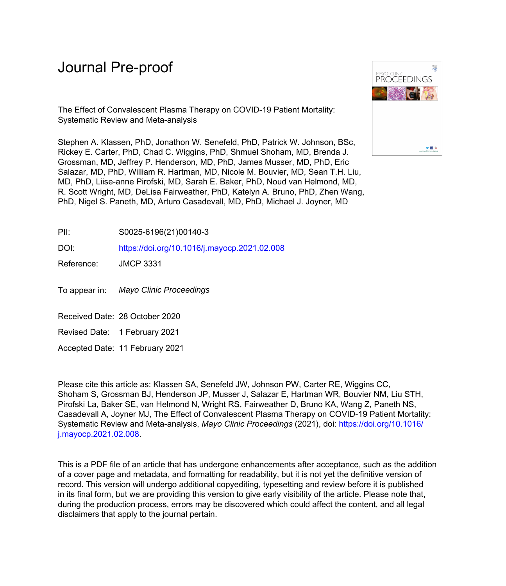# Journal Pre-proof

The Effect of Convalescent Plasma Therapy on COVID-19 Patient Mortality: Systematic Review and Meta-analysis

Stephen A. Klassen, PhD, Jonathon W. Senefeld, PhD, Patrick W. Johnson, BSc, Rickey E. Carter, PhD, Chad C. Wiggins, PhD, Shmuel Shoham, MD, Brenda J. Grossman, MD, Jeffrey P. Henderson, MD, PhD, James Musser, MD, PhD, Eric Salazar, MD, PhD, William R. Hartman, MD, Nicole M. Bouvier, MD, Sean T.H. Liu, MD, PhD, Liise-anne Pirofski, MD, Sarah E. Baker, PhD, Noud van Helmond, MD, R. Scott Wright, MD, DeLisa Fairweather, PhD, Katelyn A. Bruno, PhD, Zhen Wang, PhD, Nigel S. Paneth, MD, Arturo Casadevall, MD, PhD, Michael J. Joyner, MD



PII: S0025-6196(21)00140-3

DOI: <https://doi.org/10.1016/j.mayocp.2021.02.008>

Reference: JMCP 3331

To appear in: Mayo Clinic Proceedings

Received Date: 28 October 2020

Revised Date: 1 February 2021

Accepted Date: 11 February 2021

Please cite this article as: Klassen SA, Senefeld JW, Johnson PW, Carter RE, Wiggins CC, Shoham S, Grossman BJ, Henderson JP, Musser J, Salazar E, Hartman WR, Bouvier NM, Liu STH, Pirofski La, Baker SE, van Helmond N, Wright RS, Fairweather D, Bruno KA, Wang Z, Paneth NS, Casadevall A, Joyner MJ, The Effect of Convalescent Plasma Therapy on COVID-19 Patient Mortality: Systematic Review and Meta-analysis, *Mayo Clinic Proceedings* (2021), doi: [https://doi.org/10.1016/](https://doi.org/10.1016/j.mayocp.2021.02.008) [j.mayocp.2021.02.008](https://doi.org/10.1016/j.mayocp.2021.02.008).

This is a PDF file of an article that has undergone enhancements after acceptance, such as the addition of a cover page and metadata, and formatting for readability, but it is not yet the definitive version of record. This version will undergo additional copyediting, typesetting and review before it is published in its final form, but we are providing this version to give early visibility of the article. Please note that, during the production process, errors may be discovered which could affect the content, and all legal disclaimers that apply to the journal pertain.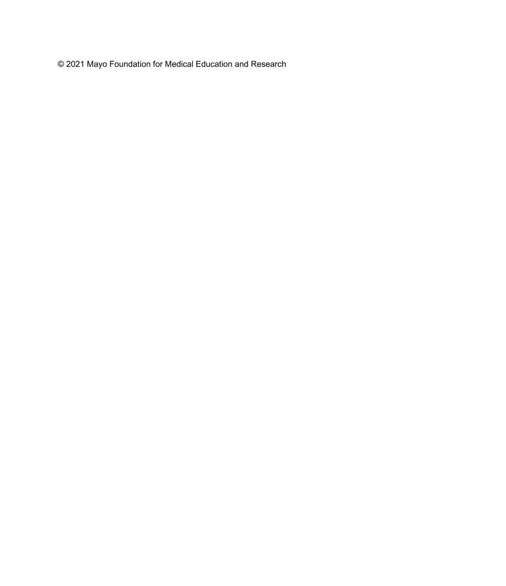© 2021 Mayo Foundation for Medical Education and Research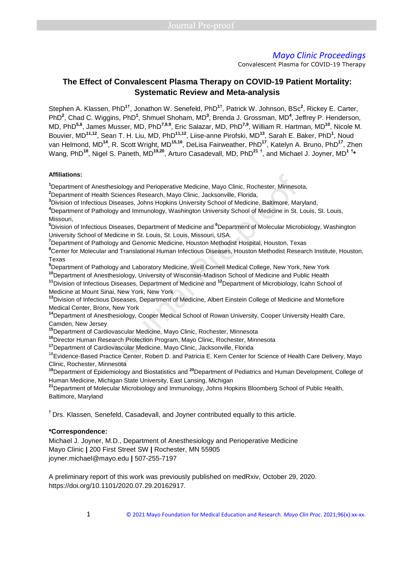Convalescent Plasma for COVID-19 Therapy

# **The Effect of Convalescent Plasma Therapy on COVID-19 Patient Mortality: Systematic Review and Meta-analysis**

Stephen A. Klassen, PhD**1†**, Jonathon W. Senefeld, PhD**1†**, Patrick W. Johnson, BSc**<sup>2</sup>** , Rickey E. Carter, PhD<sup>2</sup>, Chad C. Wiggins, PhD<sup>1</sup>, Shmuel Shoham, MD<sup>3</sup>, Brenda J. Grossman, MD<sup>4</sup>, Jeffrey P. Henderson, MD, PhD**5,6**, James Musser, MD, PhD**7,8,9**, Eric Salazar, MD, PhD**7,9**, William R. Hartman, MD**<sup>10</sup>**, Nicole M. Bouvier, MD**11,12**, Sean T. H. Liu, MD, PhD**11,12**, Liise-anne Pirofski, MD**<sup>13</sup>**, Sarah E. Baker, PhD**<sup>1</sup>** , Noud van Helmond, MD**<sup>14</sup>**, R. Scott Wright, MD**15,16**, DeLisa Fairweather, PhD**<sup>17</sup>**, Katelyn A. Bruno, PhD**<sup>17</sup>**, Zhen Wang, PhD**<sup>18</sup>**, Nigel S. Paneth, MD**19,20**, Arturo Casadevall, MD, PhD**<sup>21</sup> †** , and Michael J. Joyner, MD**<sup>1</sup> † \***

#### **Affiliations:**

**<sup>1</sup>**Department of Anesthesiology and Perioperative Medicine, Mayo Clinic, Rochester, Minnesota,

**<sup>2</sup>**Department of Health Sciences Research, Mayo Clinic, Jacksonville, Florida,

**<sup>3</sup>**Division of Infectious Diseases, Johns Hopkins University School of Medicine, Baltimore, Maryland,

**<sup>4</sup>**Department of Pathology and Immunology, Washington University School of Medicine in St. Louis, St. Louis, Missouri, thesiology and Perioperative Medicine, Mayo Clinic, Rochester, Minnesc<br>h Sciences Research, Mayo Clinic, Jacksonville, Florida,<br>5 Diseasses, Johns Hopkins University School of Medicine, Baltimore, Ma<br>blogy and Immunology,

**<sup>5</sup>**Division of Infectious Diseases, Department of Medicine and **<sup>6</sup>**Department of Molecular Microbiology, Washington University School of Medicine in St. Louis, St. Louis, Missouri, USA.

**<sup>7</sup>**Department of Pathology and Genomic Medicine, Houston Methodist Hospital, Houston, Texas

**<sup>8</sup>**Center for Molecular and Translational Human Infectious Diseases, Houston Methodist Research Institute, Houston, Texas

**<sup>9</sup>**Department of Pathology and Laboratory Medicine, Weill Cornell Medical College, New York, New York

**<sup>10</sup>**Department of Anesthesiology, University of Wisconsin-Madison School of Medicine and Public Health

**<sup>11</sup>**Division of Infectious Diseases, Department of Medicine and **<sup>12</sup>**Department of Microbiology, Icahn School of Medicine at Mount Sinai, New York, New York

**<sup>13</sup>**Division of Infectious Diseases, Department of Medicine, Albert Einstein College of Medicine and Montefiore Medical Center, Bronx, New York

**<sup>14</sup>**Department of Anesthesiology, Cooper Medical School of Rowan University, Cooper University Health Care, Camden, New Jersey

**<sup>15</sup>**Department of Cardiovascular Medicine, Mayo Clinic, Rochester, Minnesota

**<sup>16</sup>**Director Human Research Protection Program, Mayo Clinic, Rochester, Minnesota

**<sup>17</sup>**Department of Cardiovascular Medicine, Mayo Clinic, Jacksonville, Florida

<sup>18</sup>Evidence-Based Practice Center, Robert D. and Patricia E. Kern Center for Science of Health Care Delivery, Mayo Clinic, Rochester, Minnesota

**<sup>19</sup>**Department of Epidemiology and Biostatistics and **<sup>20</sup>**Department of Pediatrics and Human Development, College of Human Medicine, Michigan State University, East Lansing, Michigan

**<sup>21</sup>**Department of Molecular Microbiology and Immunology, Johns Hopkins Bloomberg School of Public Health, Baltimore, Maryland

**†** Drs. Klassen, Senefeld, Casadevall, and Joyner contributed equally to this article.

#### **\*Correspondence:**

Michael J. Joyner, M.D., Department of Anesthesiology and Perioperative Medicine Mayo Clinic **|** 200 First Street SW **|** Rochester, MN 55905 joyner.michael@mayo.edu **|** 507-255-7197

A preliminary report of this work was previously published on medRxiv, October 29, 2020. https://doi.org/10.1101/2020.07.29.20162917.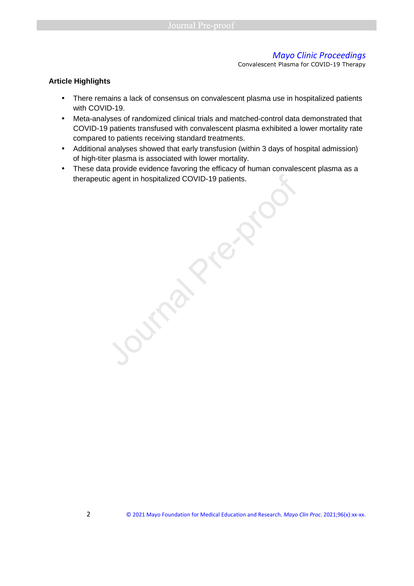Convalescent Plasma for COVID-19 Therapy

#### **Article Highlights**

- There remains a lack of consensus on convalescent plasma use in hospitalized patients with COVID-19.
- Meta-analyses of randomized clinical trials and matched-control data demonstrated that COVID-19 patients transfused with convalescent plasma exhibited a lower mortality rate compared to patients receiving standard treatments.
- Additional analyses showed that early transfusion (within 3 days of hospital admission) of high-titer plasma is associated with lower mortality.
- These data provide evidence favoring the efficacy of human convalescent plasma as a therapeutic agent in hospitalized COVID-19 patients.

J.Max. Pre-proc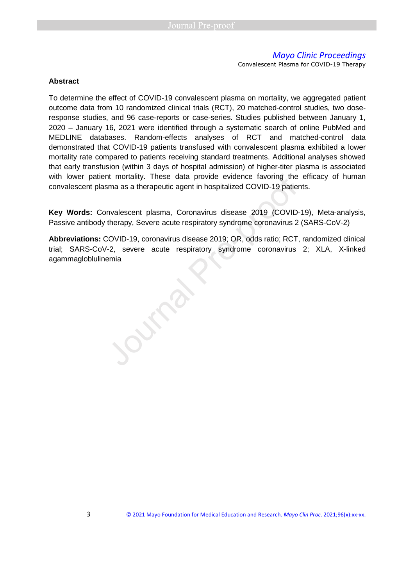Convalescent Plasma for COVID-19 Therapy

#### **Abstract**

To determine the effect of COVID-19 convalescent plasma on mortality, we aggregated patient outcome data from 10 randomized clinical trials (RCT), 20 matched-control studies, two doseresponse studies, and 96 case-reports or case-series. Studies published between January 1, 2020 – January 16, 2021 were identified through a systematic search of online PubMed and MEDLINE databases. Random-effects analyses of RCT and matched-control data demonstrated that COVID-19 patients transfused with convalescent plasma exhibited a lower mortality rate compared to patients receiving standard treatments. Additional analyses showed that early transfusion (within 3 days of hospital admission) of higher-titer plasma is associated with lower patient mortality. These data provide evidence favoring the efficacy of human convalescent plasma as a therapeutic agent in hospitalized COVID-19 patients.

**Key Words:** Convalescent plasma, Coronavirus disease 2019 (COVID-19), Meta-analysis, Passive antibody therapy, Severe acute respiratory syndrome coronavirus 2 (SARS-CoV-2)

**Abbreviations:** COVID-19, coronavirus disease 2019; OR, odds ratio; RCT, randomized clinical trial; SARS-CoV-2, severe acute respiratory syndrome coronavirus 2; XLA, X-linked with lower patient mortality. These data provide evidence favoring the convalescent plasma as a therapeutic agent in hospitalized COVID-19 patiently and the specifical Rey Words: Convalescent plasma, Coronavirus disease 20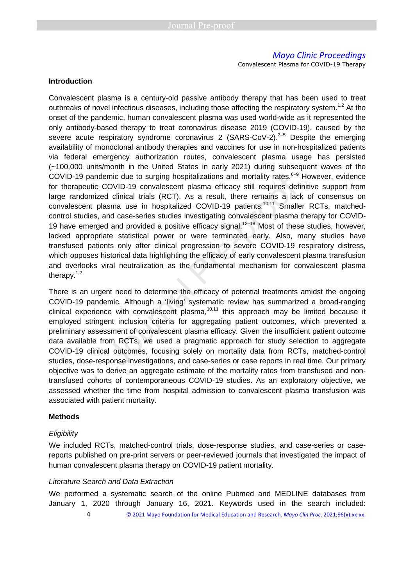Convalescent Plasma for COVID-19 Therapy

#### **Introduction**

Convalescent plasma is a century-old passive antibody therapy that has been used to treat outbreaks of novel infectious diseases, including those affecting the respiratory system.<sup>1,2</sup> At the onset of the pandemic, human convalescent plasma was used world-wide as it represented the only antibody-based therapy to treat coronavirus disease 2019 (COVID-19), caused by the severe acute respiratory syndrome coronavirus 2 (SARS-CoV-2). $2-5$  Despite the emerging availability of monoclonal antibody therapies and vaccines for use in non-hospitalized patients via federal emergency authorization routes, convalescent plasma usage has persisted (~100,000 units/month in the United States in early 2021) during subsequent waves of the COVID-19 pandemic due to surging hospitalizations and mortality rates.<sup>6-9</sup> However, evidence for therapeutic COVID-19 convalescent plasma efficacy still requires definitive support from large randomized clinical trials (RCT). As a result, there remains a lack of consensus on convalescent plasma use in hospitalized COVID-19 patients.<sup>10,11</sup> Smaller RCTs, matchedcontrol studies, and case-series studies investigating convalescent plasma therapy for COVID-19 have emerged and provided a positive efficacy signal.<sup>12–18</sup> Most of these studies, however, lacked appropriate statistical power or were terminated early. Also, many studies have transfused patients only after clinical progression to severe COVID-19 respiratory distress, which opposes historical data highlighting the efficacy of early convalescent plasma transfusion and overlooks viral neutralization as the fundamental mechanism for convalescent plasma therapy. $1,2$ mic due to surging hospitalizations and mortality rates.<sup>6-9</sup><br>COVID-19 convalescent plasma efficacy still requires def<br>d clinical trials (RCT). As a result, there remains a lac<br>sma use in hospitalized COVID-19 patients.<sup>1</sup>

There is an urgent need to determine the efficacy of potential treatments amidst the ongoing COVID-19 pandemic. Although a 'living' systematic review has summarized a broad-ranging clinical experience with convalescent plasma, $10,11$  this approach may be limited because it employed stringent inclusion criteria for aggregating patient outcomes, which prevented a preliminary assessment of convalescent plasma efficacy. Given the insufficient patient outcome data available from RCTs, we used a pragmatic approach for study selection to aggregate COVID-19 clinical outcomes, focusing solely on mortality data from RCTs, matched-control studies, dose-response investigations, and case-series or case reports in real time. Our primary objective was to derive an aggregate estimate of the mortality rates from transfused and nontransfused cohorts of contemporaneous COVID-19 studies. As an exploratory objective, we assessed whether the time from hospital admission to convalescent plasma transfusion was associated with patient mortality.

#### **Methods**

#### **Eligibility**

We included RCTs, matched-control trials, dose-response studies, and case-series or casereports published on pre-print servers or peer-reviewed journals that investigated the impact of human convalescent plasma therapy on COVID-19 patient mortality.

#### Literature Search and Data Extraction

We performed a systematic search of the online Pubmed and MEDLINE databases from January 1, 2020 through January 16, 2021. Keywords used in the search included:

4 © 2021 Mayo Foundation for Medical Education and Research. *Mayo Clin Proc*. 2021;96(x):xx-xx.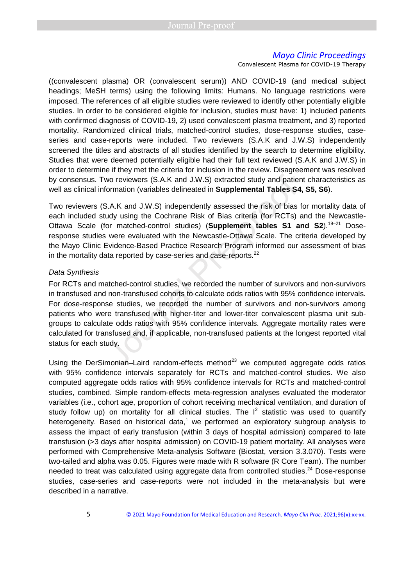Convalescent Plasma for COVID-19 Therapy

((convalescent plasma) OR (convalescent serum)) AND COVID-19 (and medical subject headings; MeSH terms) using the following limits: Humans. No language restrictions were imposed. The references of all eligible studies were reviewed to identify other potentially eligible studies. In order to be considered eligible for inclusion, studies must have: 1) included patients with confirmed diagnosis of COVID-19, 2) used convalescent plasma treatment, and 3) reported mortality. Randomized clinical trials, matched-control studies, dose-response studies, caseseries and case-reports were included. Two reviewers (S.A.K and J.W.S) independently screened the titles and abstracts of all studies identified by the search to determine eligibility. Studies that were deemed potentially eligible had their full text reviewed (S.A.K and J.W.S) in order to determine if they met the criteria for inclusion in the review. Disagreement was resolved by consensus. Two reviewers (S.A.K and J.W.S) extracted study and patient characteristics as well as clinical information (variables delineated in **Supplemental Tables S4, S5, S6**).

Two reviewers (S.A.K and J.W.S) independently assessed the risk of bias for mortality data of each included study using the Cochrane Risk of Bias criteria (for RCTs) and the Newcastle-Ottawa Scale (for matched-control studies) (**Supplement tables S1 and S2**).<sup>19–21</sup> Doseresponse studies were evaluated with the Newcastle-Ottawa Scale. The criteria developed by the Mayo Clinic Evidence-Based Practice Research Program informed our assessment of bias in the mortality data reported by case-series and case-reports. $^{22}$ 

#### Data Synthesis

For RCTs and matched-control studies, we recorded the number of survivors and non-survivors in transfused and non-transfused cohorts to calculate odds ratios with 95% confidence intervals. For dose-response studies, we recorded the number of survivors and non-survivors among patients who were transfused with higher-titer and lower-titer convalescent plasma unit subgroups to calculate odds ratios with 95% confidence intervals. Aggregate mortality rates were calculated for transfused and, if applicable, non-transfused patients at the longest reported vital status for each study. wo reviewers (S.A.K and J.W.S) extracted study and patie<br>cormation (variables delineated in **Supplemental Tables S**<br>3.A.K and J.W.S) independently assessed the risk of bias<br>udy using the Cochrane Risk of Bias criteria (for

Using the DerSimonian–Laird random-effects method $^{23}$  we computed aggregate odds ratios with 95% confidence intervals separately for RCTs and matched-control studies. We also computed aggregate odds ratios with 95% confidence intervals for RCTs and matched-control studies, combined. Simple random-effects meta-regression analyses evaluated the moderator variables (i.e., cohort age, proportion of cohort receiving mechanical ventilation, and duration of study follow up) on mortality for all clinical studies. The  $I^2$  statistic was used to quantify heterogeneity. Based on historical data,<sup>1</sup> we performed an exploratory subgroup analysis to assess the impact of early transfusion (within 3 days of hospital admission) compared to late transfusion (>3 days after hospital admission) on COVID-19 patient mortality. All analyses were performed with Comprehensive Meta-analysis Software (Biostat, version 3.3.070). Tests were two-tailed and alpha was 0.05. Figures were made with R software (R Core Team). The number needed to treat was calculated using aggregate data from controlled studies.<sup>24</sup> Dose-response studies, case-series and case-reports were not included in the meta-analysis but were described in a narrative.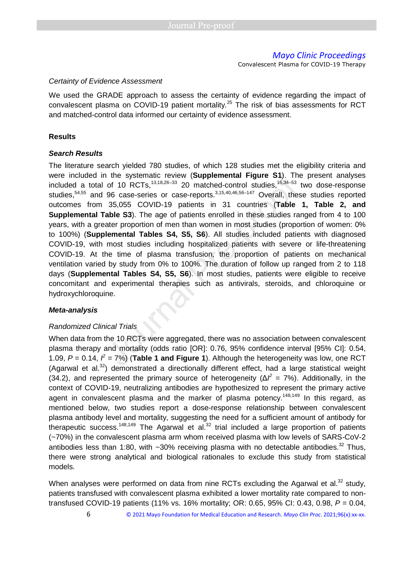Convalescent Plasma for COVID-19 Therapy

#### Certainty of Evidence Assessment

We used the GRADE approach to assess the certainty of evidence regarding the impact of convalescent plasma on COVID-19 patient mortality.<sup>25</sup> The risk of bias assessments for RCT and matched-control data informed our certainty of evidence assessment.

#### **Results**

#### **Search Results**

The literature search yielded 780 studies, of which 128 studies met the eligibility criteria and were included in the systematic review (**Supplemental Figure S1**). The present analyses included a total of 10 RCTs,<sup>13,18,26-33</sup> 20 matched-control studies,<sup>16,34-53</sup> two dose-response studies,<sup>54,55</sup> and 96 case-series or case-reports.<sup>3,15,40,46,56–147</sup> Overall, these studies reported outcomes from 35,055 COVID-19 patients in 31 countries (**Table 1, Table 2, and Supplemental Table S3**). The age of patients enrolled in these studies ranged from 4 to 100 years, with a greater proportion of men than women in most studies (proportion of women: 0% to 100%) (**Supplemental Tables S4, S5, S6**). All studies included patients with diagnosed COVID-19, with most studies including hospitalized patients with severe or life-threatening COVID-19. At the time of plasma transfusion, the proportion of patients on mechanical ventilation varied by study from 0% to 100%. The duration of follow up ranged from 2 to 118 days (**Supplemental Tables S4, S5, S6**). In most studies, patients were eligible to receive concomitant and experimental therapies such as antivirals, steroids, and chloroquine or hydroxychloroquine. The systematic review (Supplemental Figure S1). The of 10 RCTs,  $^{13,18,26-33}$  20 matched-control studies,  $^{16,34-53}$  96 case-series or case-reports.  $^{3,15,40,46,56-147}$  Overall, the 35,055 COVID-19 patients in 31 co

#### **Meta-analysis**

#### Randomized Clinical Trials

When data from the 10 RCTs were aggregated, there was no association between convalescent plasma therapy and mortality (odds ratio [OR]: 0.76, 95% confidence interval [95% CI]: 0.54, 1.09,  $P = 0.14$ ,  $\hat{P} = 7\%)$  (**Table 1 and Figure 1**). Although the heterogeneity was low, one RCT (Agarwal et al.<sup>32</sup>) demonstrated a directionally different effect, had a large statistical weight (34.2), and represented the primary source of heterogeneity ( $\Delta l^2 = 7$ %). Additionally, in the context of COVID-19, neutralizing antibodies are hypothesized to represent the primary active agent in convalescent plasma and the marker of plasma potency.<sup>148,149</sup> In this regard, as mentioned below, two studies report a dose-response relationship between convalescent plasma antibody level and mortality, suggesting the need for a sufficient amount of antibody for therapeutic success.<sup>148,149</sup> The Agarwal et al.<sup>32</sup> trial included a large proportion of patients (~70%) in the convalescent plasma arm whom received plasma with low levels of SARS-CoV-2 antibodies less than 1:80, with  $\sim$ 30% receiving plasma with no detectable antibodies.<sup>32</sup> Thus, there were strong analytical and biological rationales to exclude this study from statistical models.

When analyses were performed on data from nine RCTs excluding the Agarwal et al. $32$  study, patients transfused with convalescent plasma exhibited a lower mortality rate compared to nontransfused COVID-19 patients (11% vs. 16% mortality; OR: 0.65, 95% CI: 0.43, 0.98,  $P = 0.04$ ,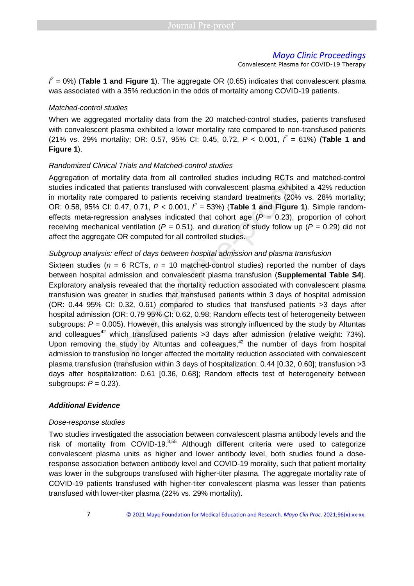Convalescent Plasma for COVID-19 Therapy

 $l^2$  = 0%) (**Table 1 and Figure 1**). The aggregate OR (0.65) indicates that convalescent plasma was associated with a 35% reduction in the odds of mortality among COVID-19 patients.

#### Matched-control studies

When we aggregated mortality data from the 20 matched-control studies, patients transfused with convalescent plasma exhibited a lower mortality rate compared to non-transfused patients (21% vs. 29% mortality; OR: 0.57, 95% CI: 0.45, 0.72,  $P < 0.001$ ,  $\hat{P} = 61\%$ ) (Table 1 and **Figure 1**).

#### Randomized Clinical Trials and Matched-control studies

Aggregation of mortality data from all controlled studies including RCTs and matched-control studies indicated that patients transfused with convalescent plasma exhibited a 42% reduction in mortality rate compared to patients receiving standard treatments (20% vs. 28% mortality; OR: 0.58, 95% CI: 0.47, 0.71,  $P < 0.001$ ,  $\hat{r} = 53$ %) (**Table 1 and Figure 1**). Simple randomeffects meta-regression analyses indicated that cohort age  $(P = 0.23)$ , proportion of cohort receiving mechanical ventilation ( $P = 0.51$ ), and duration of study follow up ( $P = 0.29$ ) did not affect the aggregate OR computed for all controlled studies.

#### Subgroup analysis: effect of days between hospital admission and plasma transfusion

Sixteen studies ( $n = 6$  RCTs,  $n = 10$  matched-control studies) reported the number of days between hospital admission and convalescent plasma transfusion (**Supplemental Table S4**). Exploratory analysis revealed that the mortality reduction associated with convalescent plasma transfusion was greater in studies that transfused patients within 3 days of hospital admission (OR: 0.44 95% CI: 0.32, 0.61) compared to studies that transfused patients >3 days after hospital admission (OR: 0.79 95% CI: 0.62, 0.98; Random effects test of heterogeneity between subgroups:  $P = 0.005$ ). However, this analysis was strongly influenced by the study by Altuntas and colleagues<sup>42</sup> which transfused patients  $>3$  days after admission (relative weight: 73%). Upon removing the study by Altuntas and colleagues, $42$  the number of days from hospital admission to transfusion no longer affected the mortality reduction associated with convalescent plasma transfusion (transfusion within 3 days of hospitalization: 0.44 [0.32, 0.60]; transfusion >3 days after hospitalization: 0.61 [0.36, 0.68]; Random effects test of heterogeneity between subgroups:  $P = 0.23$ ). nortality data from all controlled studies including RCTs a<br>that patients transfused with convalescent plasma exhibit<br>compared to patients receiving standard treatments (20%<br>2.1: 0.47, 0.71,  $P < 0.001$ ,  $\hat{r} = 53\%$ ) (**T** 

#### **Additional Evidence**

#### Dose-response studies

Two studies investigated the association between convalescent plasma antibody levels and the risk of mortality from COVID-19. $3,55$  Although different criteria were used to categorize convalescent plasma units as higher and lower antibody level, both studies found a doseresponse association between antibody level and COVID-19 morality, such that patient mortality was lower in the subgroups transfused with higher-titer plasma. The aggregate mortality rate of COVID-19 patients transfused with higher-titer convalescent plasma was lesser than patients transfused with lower-titer plasma (22% vs. 29% mortality).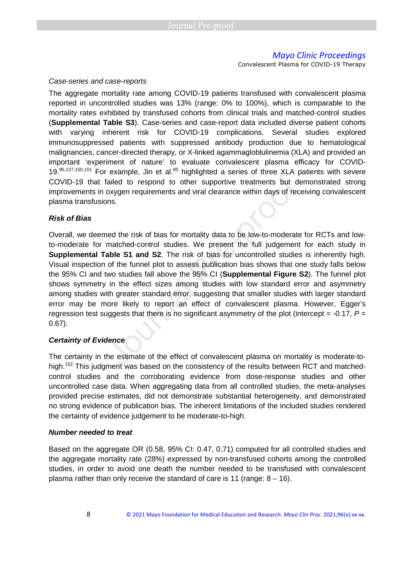Convalescent Plasma for COVID-19 Therapy

#### Case-series and case-reports

The aggregate mortality rate among COVID-19 patients transfused with convalescent plasma reported in uncontrolled studies was 13% (range: 0% to 100%), which is comparable to the mortality rates exhibited by transfused cohorts from clinical trials and matched-control studies (**Supplemental Table S3**). Case-series and case-report data included diverse patient cohorts with varying inherent risk for COVID-19 complications. Several studies explored immunosuppressed patients with suppressed antibody production due to hematological malignancies, cancer-directed therapy, or X-linked agammagloblulinemia (XLA) and provided an important 'experiment of nature' to evaluate convalescent plasma efficacy for COVID- $19.95,127,150,151$  For example, Jin et al.<sup>95</sup> highlighted a series of three XLA patients with severe COVID-19 that failed to respond to other supportive treatments but demonstrated strong improvements in oxygen requirements and viral clearance within days of receiving convalescent plasma transfusions.

#### **Risk of Bias**

Overall, we deemed the risk of bias for mortality data to be low-to-moderate for RCTs and lowto-moderate for matched-control studies. We present the full judgement for each study in **Supplemental Table S1 and S2**. The risk of bias for uncontrolled studies is inherently high. Visual inspection of the funnel plot to assess publication bias shows that one study falls below the 95% CI and two studies fall above the 95% CI (**Supplemental Figure S2**). The funnel plot shows symmetry in the effect sizes among studies with low standard error and asymmetry among studies with greater standard error, suggesting that smaller studies with larger standard error may be more likely to report an effect of convalescent plasma. However, Egger's regression test suggests that there is no significant asymmetry of the plot (intercept =  $-0.17$ ,  $P =$ 0.67). Example, one of all implinging a disclosed of antice XLY<br>
failed to respond to other supportive treatments but do<br>
and oxygen requirements and viral clearance within days of recons.<br>
and the risk of bias for mortality dat

### **Certainty of Evidence**

The certainty in the estimate of the effect of convalescent plasma on mortality is moderate-tohigh.<sup>152</sup> This judgment was based on the consistency of the results between RCT and matchedcontrol studies and the corroborating evidence from dose-response studies and other uncontrolled case data. When aggregating data from all controlled studies, the meta-analyses provided precise estimates, did not demonstrate substantial heterogeneity, and demonstrated no strong evidence of publication bias. The inherent limitations of the included studies rendered the certainty of evidence judgement to be moderate-to-high.

#### **Number needed to treat**

Based on the aggregate OR (0.58, 95% CI: 0.47, 0.71) computed for all controlled studies and the aggregate mortality rate (28%) expressed by non-transfused cohorts among the controlled studies, in order to avoid one death the number needed to be transfused with convalescent plasma rather than only receive the standard of care is 11 (range:  $8 - 16$ ).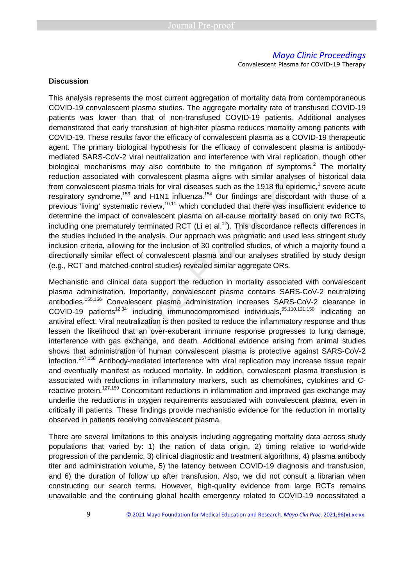Convalescent Plasma for COVID-19 Therapy

#### **Discussion**

This analysis represents the most current aggregation of mortality data from contemporaneous COVID-19 convalescent plasma studies. The aggregate mortality rate of transfused COVID-19 patients was lower than that of non-transfused COVID-19 patients. Additional analyses demonstrated that early transfusion of high-titer plasma reduces mortality among patients with COVID-19. These results favor the efficacy of convalescent plasma as a COVID-19 therapeutic agent. The primary biological hypothesis for the efficacy of convalescent plasma is antibodymediated SARS-CoV-2 viral neutralization and interference with viral replication, though other biological mechanisms may also contribute to the mitigation of symptoms.<sup>2</sup> The mortality reduction associated with convalescent plasma aligns with similar analyses of historical data from convalescent plasma trials for viral diseases such as the 1918 flu epidemic,<sup>1</sup> severe acute respiratory syndrome,<sup>153</sup> and H1N1 influenza.<sup>154</sup> Our findings are discordant with those of a previous 'living' systematic review, $10,11$  which concluded that there was insufficient evidence to determine the impact of convalescent plasma on all-cause mortality based on only two RCTs, including one prematurely terminated RCT (Li et al.<sup>12</sup>). This discordance reflects differences in the studies included in the analysis. Our approach was pragmatic and used less stringent study inclusion criteria, allowing for the inclusion of 30 controlled studies, of which a majority found a directionally similar effect of convalescent plasma and our analyses stratified by study design (e.g., RCT and matched-control studies) revealed similar aggregate ORs. ated with convalescent plasma aligns with similar analyse<br>to plasma trials for viral diseases such as the 1918 flu epid<br>ome,<sup>153</sup> and H1N1 influenza.<sup>154</sup> Our findings are discord<br>systematic review,<sup>10,11</sup> which concluded

Mechanistic and clinical data support the reduction in mortality associated with convalescent plasma administration. Importantly, convalescent plasma contains SARS-CoV-2 neutralizing antibodies.155,156 Convalescent plasma administration increases SARS-CoV-2 clearance in COVID-19 patients<sup>12,34</sup> including immunocompromised individuals,  $95,110,121,150$  indicating an antiviral effect. Viral neutralization is then posited to reduce the inflammatory response and thus lessen the likelihood that an over-exuberant immune response progresses to lung damage, interference with gas exchange, and death. Additional evidence arising from animal studies shows that administration of human convalescent plasma is protective against SARS-CoV-2 infection.157,158 Antibody-mediated interference with viral replication may increase tissue repair and eventually manifest as reduced mortality. In addition, convalescent plasma transfusion is associated with reductions in inflammatory markers, such as chemokines, cytokines and Creactive protein.<sup>127,159</sup> Concomitant reductions in inflammation and improved gas exchange may underlie the reductions in oxygen requirements associated with convalescent plasma, even in critically ill patients. These findings provide mechanistic evidence for the reduction in mortality observed in patients receiving convalescent plasma.

There are several limitations to this analysis including aggregating mortality data across study populations that varied by: 1) the nation of data origin, 2) timing relative to world-wide progression of the pandemic, 3) clinical diagnostic and treatment algorithms, 4) plasma antibody titer and administration volume, 5) the latency between COVID-19 diagnosis and transfusion, and 6) the duration of follow up after transfusion. Also, we did not consult a librarian when constructing our search terms. However, high-quality evidence from large RCTs remains unavailable and the continuing global health emergency related to COVID-19 necessitated a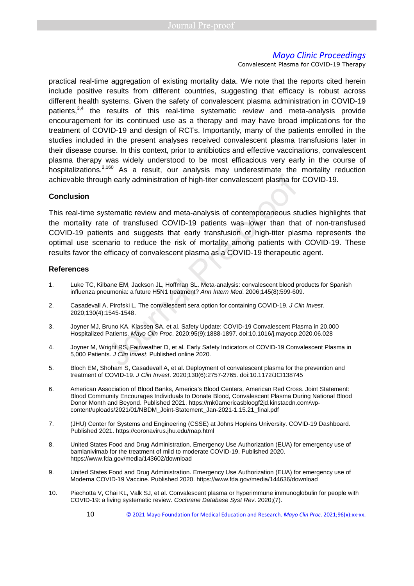Convalescent Plasma for COVID-19 Therapy

practical real-time aggregation of existing mortality data. We note that the reports cited herein include positive results from different countries, suggesting that efficacy is robust across different health systems. Given the safety of convalescent plasma administration in COVID-19 patients,<sup>3,4</sup> the results of this real-time systematic review and meta-analysis provide encouragement for its continued use as a therapy and may have broad implications for the treatment of COVID-19 and design of RCTs. Importantly, many of the patients enrolled in the studies included in the present analyses received convalescent plasma transfusions later in their disease course. In this context, prior to antibiotics and effective vaccinations, convalescent plasma therapy was widely understood to be most efficacious very early in the course of hospitalizations.<sup>2,160</sup> As a result, our analysis may underestimate the mortality reduction achievable through early administration of high-titer convalescent plasma for COVID-19.

#### **Conclusion**

This real-time systematic review and meta-analysis of contemporaneous studies highlights that the mortality rate of transfused COVID-19 patients was lower than that of non-transfused COVID-19 patients and suggests that early transfusion of high-titer plasma represents the optimal use scenario to reduce the risk of mortality among patients with COVID-19. These results favor the efficacy of convalescent plasma as a COVID-19 therapeutic agent. gh early administration of high-titer convalescent plasma for<br>stematic review and meta-analysis of contemporaneous st<br>e of transfused COVID-19 patients was lower than tha<br>ths and suggests that early transfusion of high-tit

#### **References**

- 1. Luke TC, Kilbane EM, Jackson JL, Hoffman SL. Meta-analysis: convalescent blood products for Spanish influenza pneumonia: a future H5N1 treatment? Ann Intern Med. 2006;145(8):599-609.
- 2. Casadevall A, Pirofski L. The convalescent sera option for containing COVID-19. J Clin Invest. 2020;130(4):1545-1548.
- 3. Joyner MJ, Bruno KA, Klassen SA, et al. Safety Update: COVID-19 Convalescent Plasma in 20,000 Hospitalized Patients. Mayo Clin Proc. 2020;95(9):1888-1897. doi:10.1016/j.mayocp.2020.06.028
- 4. Joyner M, Wright RS, Fairweather D, et al. Early Safety Indicators of COVID-19 Convalescent Plasma in 5,000 Patients. J Clin Invest. Published online 2020.
- 5. Bloch EM, Shoham S, Casadevall A, et al. Deployment of convalescent plasma for the prevention and treatment of COVID-19. J Clin Invest. 2020;130(6):2757-2765. doi:10.1172/JCI138745
- 6. American Association of Blood Banks, America's Blood Centers, American Red Cross. Joint Statement: Blood Community Encourages Individuals to Donate Blood, Convalescent Plasma During National Blood Donor Month and Beyond. Published 2021. https://mk0americasbloogf2jd.kinstacdn.com/wpcontent/uploads/2021/01/NBDM\_Joint-Statement\_Jan-2021-1.15.21\_final.pdf
- 7. (JHU) Center for Systems and Engineering (CSSE) at Johns Hopkins University. COVID-19 Dashboard. Published 2021. https://coronavirus.jhu.edu/map.html
- 8. United States Food and Drug Administration. Emergency Use Authorization (EUA) for emergency use of bamlanivimab for the treatment of mild to moderate COVID-19. Published 2020. https://www.fda.gov/media/143602/download
- 9. United States Food and Drug Administration. Emergency Use Authorization (EUA) for emergency use of Moderna COVID-19 Vaccine. Published 2020. https://www.fda.gov/media/144636/download
- 10. Piechotta V, Chai KL, Valk SJ, et al. Convalescent plasma or hyperimmune immunoglobulin for people with COVID-19: a living systematic review. Cochrane Database Syst Rev. 2020;(7).
	- 10 © 2021 Mayo Foundation for Medical Education and Research. *Mayo Clin Proc*. 2021;96(x):xx-xx.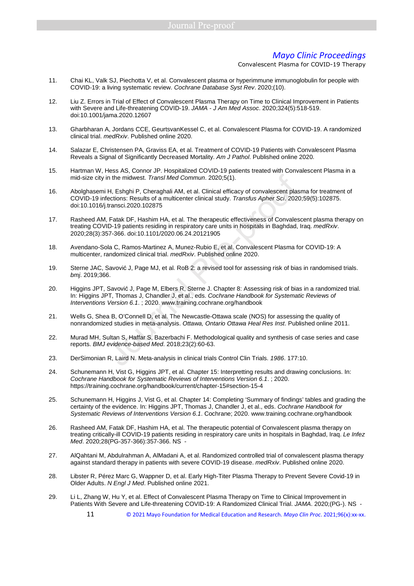- 11. Chai KL, Valk SJ, Piechotta V, et al. Convalescent plasma or hyperimmune immunoglobulin for people with COVID‐19: a living systematic review. Cochrane Database Syst Rev. 2020;(10).
- 12. Liu Z. Errors in Trial of Effect of Convalescent Plasma Therapy on Time to Clinical Improvement in Patients with Severe and Life-threatening COVID-19. JAMA - J Am Med Assoc. 2020;324(5):518-519. doi:10.1001/jama.2020.12607
- 13. Gharbharan A, Jordans CCE, GeurtsvanKessel C, et al. Convalescent Plasma for COVID-19. A randomized clinical trial. medRxiv. Published online 2020.
- 14. Salazar E, Christensen PA, Graviss EA, et al. Treatment of COVID-19 Patients with Convalescent Plasma Reveals a Signal of Significantly Decreased Mortality. Am J Pathol. Published online 2020.
- 15. Hartman W, Hess AS, Connor JP. Hospitalized COVID-19 patients treated with Convalescent Plasma in a mid-size city in the midwest. Transl Med Commun. 2020;5(1).
- 16. Abolghasemi H, Eshghi P, Cheraghali AM, et al. Clinical efficacy of convalescent plasma for treatment of COVID-19 infections: Results of a multicenter clinical study. Transfus Apher Sci. 2020;59(5):102875. doi:10.1016/j.transci.2020.102875 in the midwest. Transl Med Commun. 2020;5(1).<br>
H, Eshghi P, Cheraghali AM, et al. Clinical efficacy of convalescent plase<br>
fections: Results of a multicenter clinical study. Transfus Apher Sci. 2020<br>
transci.2020.102875<br>
F
- 17. Rasheed AM, Fatak DF, Hashim HA, et al. The therapeutic effectiveness of Convalescent plasma therapy on treating COVID-19 patients residing in respiratory care units in hospitals in Baghdad, Iraq. medRxiv. 2020;28(3):357-366. doi:10.1101/2020.06.24.20121905
- 18. Avendano-Sola C, Ramos-Martinez A, Munez-Rubio E, et al. Convalescent Plasma for COVID-19: A multicenter, randomized clinical trial. medRxiv. Published online 2020.
- 19. Sterne JAC, Savović J, Page MJ, et al. RoB 2: a revised tool for assessing risk of bias in randomised trials. bmj. 2019;366.
- 20. Higgins JPT, Savović J, Page M, Elbers R, Sterne J. Chapter 8: Assessing risk of bias in a randomized trial. In: Higgins JPT, Thomas J, Chandler J, et al., eds. Cochrane Handbook for Systematic Reviews of Interventions Version 6.1. ; 2020. www.training.cochrane.org/handbook
- 21. Wells G, Shea B, O'Connell D, et al. The Newcastle-Ottawa scale (NOS) for assessing the quality of nonrandomized studies in meta-analysis. Ottawa, Ontario Ottawa Heal Res Inst. Published online 2011.
- 22. Murad MH, Sultan S, Haffar S, Bazerbachi F. Methodological quality and synthesis of case series and case reports. BMJ evidence-based Med. 2018;23(2):60-63.
- 23. DerSimonian R, Laird N. Meta-analysis in clinical trials Control Clin Trials. 1986. 177:10.
- 24. Schunemann H, Vist G, Higgins JPT, et al. Chapter 15: Interpretting results and drawing conclusions. In: Cochrane Handbook for Systematic Reviews of Interventions Version 6.1. ; 2020. https://training.cochrane.org/handbook/current/chapter-15#section-15-4
- 25. Schunemann H, Higgins J, Vist G, et al. Chapter 14: Completing 'Summary of findings' tables and grading the certainty of the evidence. In: Higgins JPT, Thomas J, Chandler J, et al., eds. Cochrane Handbook for Systematic Reviews of Interventions Version 6.1. Cochrane; 2020. www.training.cochrane.org/handbook
- 26. Rasheed AM, Fatak DF, Hashim HA, et al. The therapeutic potential of Convalescent plasma therapy on treating critically-ill COVID-19 patients residing in respiratory care units in hospitals in Baghdad, Iraq. Le Infez Med. 2020;28(PG-357-366):357-366. NS -
- 27. AlQahtani M, Abdulrahman A, AlMadani A, et al. Randomized controlled trial of convalescent plasma therapy against standard therapy in patients with severe COVID-19 disease. medRxiv. Published online 2020.
- 28. Libster R, Pérez Marc G, Wappner D, et al. Early High-Titer Plasma Therapy to Prevent Severe Covid-19 in Older Adults. N Engl J Med. Published online 2021.
- 29. Li L, Zhang W, Hu Y, et al. Effect of Convalescent Plasma Therapy on Time to Clinical Improvement in Patients With Severe and Life-threatening COVID-19: A Randomized Clinical Trial. JAMA. 2020;(PG-). NS -
	- 11 © 2021 Mayo Foundation for Medical Education and Research. *Mayo Clin Proc*. 2021;96(x):xx-xx.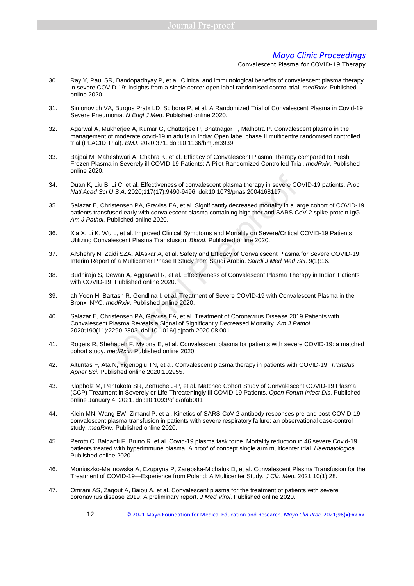- 30. Ray Y, Paul SR, Bandopadhyay P, et al. Clinical and immunological benefits of convalescent plasma therapy in severe COVID-19: insights from a single center open label randomised control trial. medRxiv. Published online 2020.
- 31. Simonovich VA, Burgos Pratx LD, Scibona P, et al. A Randomized Trial of Convalescent Plasma in Covid-19 Severe Pneumonia. N Engl J Med. Published online 2020.
- 32. Agarwal A, Mukherjee A, Kumar G, Chatterjee P, Bhatnagar T, Malhotra P. Convalescent plasma in the management of moderate covid-19 in adults in India: Open label phase II multicentre randomised controlled trial (PLACID Trial). BMJ. 2020;371. doi:10.1136/bmj.m3939
- 33. Bajpai M, Maheshwari A, Chabra K, et al. Efficacy of Convalescent Plasma Therapy compared to Fresh Frozen Plasma in Severely ill COVID-19 Patients: A Pilot Randomized Controlled Trial. medRxiv. Published online 2020.
- 34. Duan K, Liu B, Li C, et al. Effectiveness of convalescent plasma therapy in severe COVID-19 patients. Proc Natl Acad Sci U S A. 2020;117(17):9490-9496. doi:10.1073/pnas.2004168117
- 35. Salazar E, Christensen PA, Graviss EA, et al. Significantly decreased mortality in a large cohort of COVID-19 patients transfused early with convalescent plasma containing high titer anti-SARS-CoV-2 spike protein IgG. Am J Pathol. Published online 2020.
- 36. Xia X, Li K, Wu L, et al. Improved Clinical Symptoms and Mortality on Severe/Critical COVID-19 Patients Utilizing Convalescent Plasma Transfusion. Blood. Published online 2020.
- 37. AlShehry N, Zaidi SZA, AlAskar A, et al. Safety and Efficacy of Convalescent Plasma for Severe COVID-19: Interim Report of a Multicenter Phase II Study from Saudi Arabia. Saudi J Med Med Sci. 9(1):16.
- 38. Budhiraja S, Dewan A, Aggarwal R, et al. Effectiveness of Convalescent Plasma Therapy in Indian Patients with COVID-19. Published online 2020.
- 39. ah Yoon H, Bartash R, Gendlina I, et al. Treatment of Severe COVID-19 with Convalescent Plasma in the Bronx, NYC. medRxiv. Published online 2020.
- 40. Salazar E, Christensen PA, Graviss EA, et al. Treatment of Coronavirus Disease 2019 Patients with Convalescent Plasma Reveals a Signal of Significantly Decreased Mortality. Am J Pathol. 2020;190(11):2290-2303. doi:10.1016/j.ajpath.2020.08.001 B, Li C, et al. Effectiveness of convalescent plasma therapy in severe CC<br>
ii U S A. 2020;117(17):9490-9496. doi:10.1073/pnas.2004168117<br>
Inistensen PA, Graviss EA, et al. Significantly decreased mortality in a la<br>
sifused
- 41. Rogers R, Shehadeh F, Mylona E, et al. Convalescent plasma for patients with severe COVID-19: a matched cohort study. medRxiv. Published online 2020.
- 42. Altuntas F, Ata N, Yigenoglu TN, et al. Convalescent plasma therapy in patients with COVID-19. Transfus Apher Sci. Published online 2020:102955.
- 43. Klapholz M, Pentakota SR, Zertuche J-P, et al. Matched Cohort Study of Convalescent COVID-19 Plasma (CCP) Treatment in Severely or Life Threateningly Ill COVID-19 Patients. Open Forum Infect Dis. Published online January 4, 2021. doi:10.1093/ofid/ofab001
- 44. Klein MN, Wang EW, Zimand P, et al. Kinetics of SARS-CoV-2 antibody responses pre-and post-COVID-19 convalescent plasma transfusion in patients with severe respiratory failure: an observational case-control study. medRxiv. Published online 2020.
- 45. Perotti C, Baldanti F, Bruno R, et al. Covid-19 plasma task force. Mortality reduction in 46 severe Covid-19 patients treated with hyperimmune plasma. A proof of concept single arm multicenter trial. Haematologica. Published online 2020.
- 46. Moniuszko-Malinowska A, Czupryna P, Zarębska-Michaluk D, et al. Convalescent Plasma Transfusion for the Treatment of COVID-19—Experience from Poland: A Multicenter Study. J Clin Med. 2021;10(1):28.
- 47. Omrani AS, Zaqout A, Baiou A, et al. Convalescent plasma for the treatment of patients with severe coronavirus disease 2019: A preliminary report. J Med Virol. Published online 2020.
	- 12 © 2021 Mayo Foundation for Medical Education and Research. *Mayo Clin Proc*. 2021;96(x):xx-xx.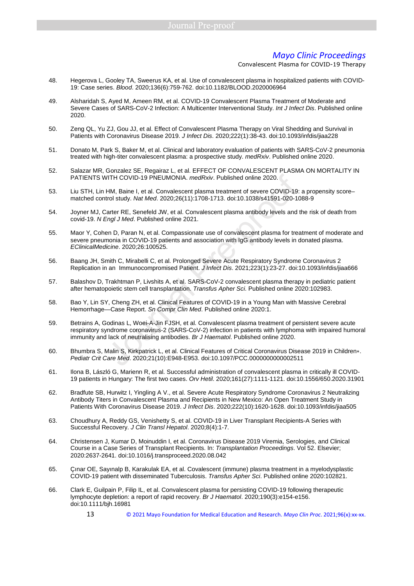- 48. Hegerova L, Gooley TA, Sweerus KA, et al. Use of convalescent plasma in hospitalized patients with COVID-19: Case series. Blood. 2020;136(6):759-762. doi:10.1182/BLOOD.2020006964
- 49. Alsharidah S, Ayed M, Ameen RM, et al. COVID-19 Convalescent Plasma Treatment of Moderate and Severe Cases of SARS-CoV-2 Infection: A Multicenter Interventional Study. Int J Infect Dis. Published online 2020.
- 50. Zeng QL, Yu ZJ, Gou JJ, et al. Effect of Convalescent Plasma Therapy on Viral Shedding and Survival in Patients with Coronavirus Disease 2019. J Infect Dis. 2020;222(1):38-43. doi:10.1093/infdis/jiaa228
- 51. Donato M, Park S, Baker M, et al. Clinical and laboratory evaluation of patients with SARS-CoV-2 pneumonia treated with high-titer convalescent plasma: a prospective study. medRxiv. Published online 2020.
- 52. Salazar MR, Gonzalez SE, Regairaz L, et al. EFFECT OF CONVALESCENT PLASMA ON MORTALITY IN PATIENTS WITH COVID-19 PNEUMONIA. medRxiv. Published online 2020.
- 53. Liu STH, Lin HM, Baine I, et al. Convalescent plasma treatment of severe COVID-19: a propensity score– matched control study. Nat Med. 2020;26(11):1708-1713. doi:10.1038/s41591-020-1088-9
- 54. Joyner MJ, Carter RE, Senefeld JW, et al. Convalescent plasma antibody levels and the risk of death from covid-19. N Engl J Med. Published online 2021.
- 55. Maor Y, Cohen D, Paran N, et al. Compassionate use of convalescent plasma for treatment of moderate and severe pneumonia in COVID-19 patients and association with IgG antibody levels in donated plasma. EClinicalMedicine. 2020;26:100525. VITH COVID-19 PNEUMONIA. *medRxiv.* Published online 2020.<br>HM, Baine I, et al. Convalescent plasma treatment of severe COVID-19:<br>trol study. *Nat Med.* 2020;26(11):1708-1713. doi:10.1038/s41591-020-10<br>arter RE, Senefeld JW
- 56. Baang JH, Smith C, Mirabelli C, et al. Prolonged Severe Acute Respiratory Syndrome Coronavirus 2 Replication in an Immunocompromised Patient. J Infect Dis. 2021;223(1):23-27. doi:10.1093/infdis/jiaa666
- 57. Balashov D, Trakhtman P, Livshits A, et al. SARS-CoV-2 convalescent plasma therapy in pediatric patient after hematopoietic stem cell transplantation. Transfus Apher Sci. Published online 2020:102983.
- 58. Bao Y, Lin SY, Cheng ZH, et al. Clinical Features of COVID-19 in a Young Man with Massive Cerebral Hemorrhage-Case Report. Sn Compr Clin Med. Published online 2020:1.
- 59. Betrains A, Godinas L, Woei-A-Jin FJSH, et al. Convalescent plasma treatment of persistent severe acute respiratory syndrome coronavirus-2 (SARS-CoV-2) infection in patients with lymphoma with impaired humoral immunity and lack of neutralising antibodies. Br J Haematol. Published online 2020.
- 60. Bhumbra S, Malin S, Kirkpatrick L, et al. Clinical Features of Critical Coronavirus Disease 2019 in Children∗. Pediatr Crit Care Med. 2020;21(10):E948-E953. doi:10.1097/PCC.0000000000002511
- 61. Ilona B, László G, Marienn R, et al. Successful administration of convalescent plasma in critically ill COVID-19 patients in Hungary: The first two cases. Orv Hetil. 2020;161(27):1111-1121. doi:10.1556/650.2020.31901
- 62. Bradfute SB, Hurwitz I, Yingling A V., et al. Severe Acute Respiratory Syndrome Coronavirus 2 Neutralizing Antibody Titers in Convalescent Plasma and Recipients in New Mexico: An Open Treatment Study in Patients With Coronavirus Disease 2019. J Infect Dis. 2020;222(10):1620-1628. doi:10.1093/infdis/jiaa505
- 63. Choudhury A, Reddy GS, Venishetty S, et al. COVID-19 in Liver Transplant Recipients-A Series with Successful Recovery. J Clin Transl Hepatol. 2020;8(4):1-7.
- 64. Christensen J, Kumar D, Moinuddin I, et al. Coronavirus Disease 2019 Viremia, Serologies, and Clinical Course in a Case Series of Transplant Recipients. In: Transplantation Proceedings. Vol 52. Elsevier; 2020:2637-2641. doi:10.1016/j.transproceed.2020.08.042
- 65. Çınar OE, Sayınalp B, Karakulak EA, et al. Covalescent (immune) plasma treatment in a myelodysplastic COVID-19 patient with disseminated Tuberculosis. Transfus Apher Sci. Published online 2020:102821.
- 66. Clark E, Guilpain P, Filip IL, et al. Convalescent plasma for persisting COVID-19 following therapeutic lymphocyte depletion: a report of rapid recovery. Br J Haematol. 2020;190(3):e154-e156. doi:10.1111/bjh.16981
	- 13 © 2021 Mayo Foundation for Medical Education and Research. *Mayo Clin Proc*. 2021;96(x):xx-xx.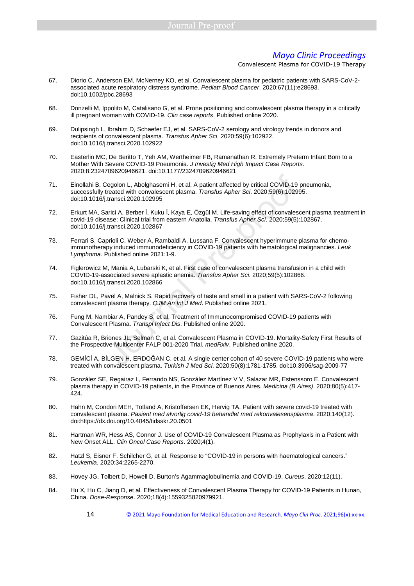- 67. Diorio C, Anderson EM, McNerney KO, et al. Convalescent plasma for pediatric patients with SARS-CoV-2 associated acute respiratory distress syndrome. Pediatr Blood Cancer. 2020;67(11):e28693. doi:10.1002/pbc.28693
- 68. Donzelli M, Ippolito M, Catalisano G, et al. Prone positioning and convalescent plasma therapy in a critically ill pregnant woman with COVID‐19. Clin case reports. Published online 2020.
- 69. Dulipsingh L, Ibrahim D, Schaefer EJ, et al. SARS-CoV-2 serology and virology trends in donors and recipients of convalescent plasma. Transfus Apher Sci. 2020;59(6):102922. doi:10.1016/j.transci.2020.102922
- 70. Easterlin MC, De Beritto T, Yeh AM, Wertheimer FB, Ramanathan R. Extremely Preterm Infant Born to a Mother With Severe COVID-19 Pneumonia. J Investig Med High Impact Case Reports. 2020;8:2324709620946621. doi:10.1177/2324709620946621
- 71. Einollahi B, Cegolon L, Abolghasemi H, et al. A patient affected by critical COVID-19 pneumonia, successfully treated with convalescent plasma. Transfus Apher Sci. 2020;59(6):102995. doi:10.1016/j.transci.2020.102995 Comparison L, Abolghasemi H, et al. A patient affected by critical COVID-19<br>
Interated with convalescent plasma. Transfits Apher Sci. 2020;59(6):1029:<br>
Interated with convalescent plasma. Transfits Apher Sci. 2020;59(6):10
- 72. Erkurt MA, Sarici A, Berber İ, Kuku İ, Kaya E, Özgül M. Life-saving effect of convalescent plasma treatment in covid-19 disease: Clinical trial from eastern Anatolia. Transfus Apher Sci. 2020;59(5):102867. doi:10.1016/j.transci.2020.102867
- 73. Ferrari S, Caprioli C, Weber A, Rambaldi A, Lussana F. Convalescent hyperimmune plasma for chemoimmunotherapy induced immunodeficiency in COVID-19 patients with hematological malignancies. Leuk Lymphoma. Published online 2021:1-9.
- 74. Figlerowicz M, Mania A, Lubarski K, et al. First case of convalescent plasma transfusion in a child with COVID-19-associated severe aplastic anemia. Transfus Apher Sci. 2020;59(5):102866. doi:10.1016/j.transci.2020.102866
- 75. Fisher DL, Pavel A, Malnick S. Rapid recovery of taste and smell in a patient with SARS-CoV-2 following convalescent plasma therapy. QJM An Int J Med. Published online 2021.
- 76. Fung M, Nambiar A, Pandey S, et al. Treatment of Immunocompromised COVID‐19 patients with Convalescent Plasma. Transpl Infect Dis. Published online 2020.
- 77. Gazitúa R, Briones JL, Selman C, et al. Convalescent Plasma in COVID-19. Mortality-Safety First Results of the Prospective Multicenter FALP 001-2020 Trial. medRxiv. Published online 2020.
- 78. GEMİCİ A, BİLGEN H, ERDOĞAN C, et al. A single center cohort of 40 severe COVID-19 patients who were treated with convalescent plasma. Turkish J Med Sci. 2020;50(8):1781-1785. doi:10.3906/sag-2009-77
- 79. González SE, Regairaz L, Ferrando NS, González Martínez V V, Salazar MR, Estenssoro E. Convalescent plasma therapy in COVID-19 patients, in the Province of Buenos Aires. Medicina (B Aires). 2020;80(5):417- 424.
- 80. Hahn M, Condori MEH, Totland A, Kristoffersen EK, Hervig TA. Patient with severe covid-19 treated with convalescent plasma. Pasient med alvorlig covid-19 behandlet med rekonvalesensplasma. 2020;140(12). doi:https://dx.doi.org/10.4045/tidsskr.20.0501
- 81. Hartman WR, Hess AS, Connor J. Use of COVID-19 Convalescent Plasma as Prophylaxis in a Patient with New Onset ALL. Clin Oncol Case Reports. 2020;4(1).
- 82. Hatzl S, Eisner F, Schilcher G, et al. Response to "COVID-19 in persons with haematological cancers." Leukemia. 2020;34:2265-2270.
- 83. Hovey JG, Tolbert D, Howell D. Burton's Agammaglobulinemia and COVID-19. Cureus. 2020;12(11).
- 84. Hu X, Hu C, Jiang D, et al. Effectiveness of Convalescent Plasma Therapy for COVID-19 Patients in Hunan, China. Dose-Response. 2020;18(4):1559325820979921.
	- 14 © 2021 Mayo Foundation for Medical Education and Research. *Mayo Clin Proc*. 2021;96(x):xx-xx.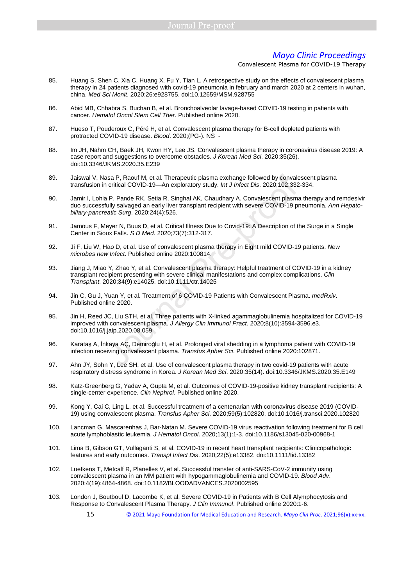- 85. Huang S, Shen C, Xia C, Huang X, Fu Y, Tian L. A retrospective study on the effects of convalescent plasma therapy in 24 patients diagnosed with covid-19 pneumonia in february and march 2020 at 2 centers in wuhan, china. Med Sci Monit. 2020;26:e928755. doi:10.12659/MSM.928755
- 86. Abid MB, Chhabra S, Buchan B, et al. Bronchoalveolar lavage-based COVID-19 testing in patients with cancer. Hematol Oncol Stem Cell Ther. Published online 2020.
- 87. Hueso T, Pouderoux C, Péré H, et al. Convalescent plasma therapy for B-cell depleted patients with protracted COVID-19 disease. Blood. 2020;(PG-). NS -
- 88. Im JH, Nahm CH, Baek JH, Kwon HY, Lee JS. Convalescent plasma therapy in coronavirus disease 2019: A case report and suggestions to overcome obstacles. J Korean Med Sci. 2020;35(26). doi:10.3346/JKMS.2020.35.E239
- 89. Jaiswal V, Nasa P, Raouf M, et al. Therapeutic plasma exchange followed by convalescent plasma transfusion in critical COVID-19—An exploratory study. Int J Infect Dis. 2020;102:332-334.
- 90. Jamir I, Lohia P, Pande RK, Setia R, Singhal AK, Chaudhary A. Convalescent plasma therapy and remdesivir duo successfully salvaged an early liver transplant recipient with severe COVID-19 pneumonia. Ann Hepatobiliary-pancreatic Surg. 2020;24(4):526.
- 91. Jamous F, Meyer N, Buus D, et al. Critical Illness Due to Covid-19: A Description of the Surge in a Single Center in Sioux Falls. S D Med. 2020;73(7):312-317.
- 92. Ji F, Liu W, Hao D, et al. Use of convalescent plasma therapy in Eight mild COVID-19 patients. New microbes new Infect. Published online 2020:100814.
- 93. Jiang J, Miao Y, Zhao Y, et al. Convalescent plasma therapy: Helpful treatment of COVID-19 in a kidney transplant recipient presenting with severe clinical manifestations and complex complications. Clin Transplant. 2020;34(9):e14025. doi:10.1111/ctr.14025
- 94. Jin C, Gu J, Yuan Y, et al. Treatment of 6 COVID-19 Patients with Convalescent Plasma. medRxiv. Published online 2020.
- 95. Jin H, Reed JC, Liu STH, et al. Three patients with X-linked agammaglobulinemia hospitalized for COVID-19 improved with convalescent plasma. J Allergy Clin Immunol Pract. 2020;8(10):3594-3596.e3. doi:10.1016/j.jaip.2020.08.059 asa P, Raouf M, et al. Therapeutic plasma exchange followed by convale critical COVID-19—An exploratory study. *Int J Infect Dis.* 2020;102:332<br>
a P, Pande RK, Setia R, Singhal AK, Chaudhary A. Convalescent plasma<br>
villy
- 96. Karataş A, İnkaya AÇ, Demiroğlu H, et al. Prolonged viral shedding in a lymphoma patient with COVID-19 infection receiving convalescent plasma. Transfus Apher Sci. Published online 2020:102871.
- 97. Ahn JY, Sohn Y, Lee SH, et al. Use of convalescent plasma therapy in two covid-19 patients with acute respiratory distress syndrome in Korea. J Korean Med Sci. 2020;35(14). doi:10.3346/JKMS.2020.35.E149
- 98. Katz-Greenberg G, Yadav A, Gupta M, et al. Outcomes of COVID-19-positive kidney transplant recipients: A single-center experience. Clin Nephrol. Published online 2020.
- 99. Kong Y, Cai C, Ling L, et al. Successful treatment of a centenarian with coronavirus disease 2019 (COVID-19) using convalescent plasma. Transfus Apher Sci. 2020;59(5):102820. doi:10.1016/j.transci.2020.102820
- 100. Lancman G, Mascarenhas J, Bar-Natan M. Severe COVID-19 virus reactivation following treatment for B cell acute lymphoblastic leukemia. J Hematol Oncol. 2020;13(1):1-3. doi:10.1186/s13045-020-00968-1
- 101. Lima B, Gibson GT, Vullaganti S, et al. COVID-19 in recent heart transplant recipients: Clinicopathologic features and early outcomes. Transpl Infect Dis. 2020;22(5):e13382. doi:10.1111/tid.13382
- 102. Luetkens T, Metcalf R, Planelles V, et al. Successful transfer of anti-SARS-CoV-2 immunity using convalescent plasma in an MM patient with hypogammaglobulinemia and COVID-19. Blood Adv. 2020;4(19):4864-4868. doi:10.1182/BLOODADVANCES.2020002595
- 103. London J, Boutboul D, Lacombe K, et al. Severe COVID-19 in Patients with B Cell Alymphocytosis and Response to Convalescent Plasma Therapy. J Clin Immunol. Published online 2020:1-6.
	- 15 © 2021 Mayo Foundation for Medical Education and Research. *Mayo Clin Proc*. 2021;96(x):xx-xx.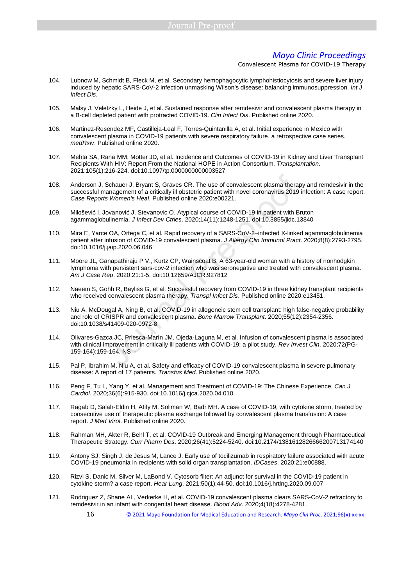- 104. Lubnow M, Schmidt B, Fleck M, et al. Secondary hemophagocytic lymphohistiocytosis and severe liver injury induced by hepatic SARS-CoV-2 infection unmasking Wilson's disease: balancing immunosuppression. Int J Infect Dis.
- 105. Malsy J, Veletzky L, Heide J, et al. Sustained response after remdesivir and convalescent plasma therapy in a B-cell depleted patient with protracted COVID-19. Clin Infect Dis. Published online 2020.
- 106. Martinez-Resendez MF, Castilleja-Leal F, Torres-Quintanilla A, et al. Initial experience in Mexico with convalescent plasma in COVID-19 patients with severe respiratory failure, a retrospective case series. medRxiv. Published online 2020.
- 107. Mehta SA, Rana MM, Motter JD, et al. Incidence and Outcomes of COVID-19 in Kidney and Liver Transplant Recipients With HIV: Report From the National HOPE in Action Consortium. Transplantation. 2021;105(1):216-224. doi:10.1097/tp.0000000000003527
- 108. Anderson J, Schauer J, Bryant S, Graves CR. The use of convalescent plasma therapy and remdesivir in the successful management of a critically ill obstetric patient with novel coronavirus 2019 infection: A case report. Case Reports Women's Heal. Published online 2020:e00221.
- 109. Milošević I, Jovanović J, Stevanovic O. Atypical course of COVID-19 in patient with Bruton agammaglobulinemia. J Infect Dev Ctries. 2020;14(11):1248-1251. doi:10.3855/jidc.13840
- 110. Mira E, Yarce OA, Ortega C, et al. Rapid recovery of a SARS-CoV-2–infected X-linked agammaglobulinemia patient after infusion of COVID-19 convalescent plasma. J Allergy Clin Immunol Pract. 2020;8(8):2793-2795. doi:10.1016/j.jaip.2020.06.046 Schauer J, Bryant S, Graves CR. The use of convalescent plasma thera<br>
anagement of a critically ill obstetric patient with novel coronavirus 2019<br>
S Women's Heal. Published online 2020:e00221.<br>
ovanović J, Stevanovic O. At
- 111. Moore JL, Ganapathiraju P V., Kurtz CP, Wainscoat B. A 63-year-old woman with a history of nonhodgkin lymphoma with persistent sars-cov-2 infection who was seronegative and treated with convalescent plasma. Am J Case Rep. 2020;21:1-5. doi:10.12659/AJCR.927812
- 112. Naeem S, Gohh R, Bayliss G, et al. Successful recovery from COVID-19 in three kidney transplant recipients who received convalescent plasma therapy. Transpl Infect Dis. Published online 2020:e13451.
- 113. Niu A, McDougal A, Ning B, et al. COVID-19 in allogeneic stem cell transplant: high false-negative probability and role of CRISPR and convalescent plasma. Bone Marrow Transplant. 2020;55(12):2354-2356. doi:10.1038/s41409-020-0972-8
- 114. Olivares-Gazca JC, Priesca-Marín JM, Ojeda-Laguna M, et al. Infusion of convalescent plasma is associated with clinical improvement in critically ill patients with COVID-19: a pilot study. Rev Invest Clin. 2020;72(PG-159-164):159-164. NS -
- 115. Pal P, Ibrahim M, Niu A, et al. Safety and efficacy of COVID-19 convalescent plasma in severe pulmonary disease: A report of 17 patients. Transfus Med. Published online 2020.
- 116. Peng F, Tu L, Yang Y, et al. Management and Treatment of COVID-19: The Chinese Experience. Can J Cardiol. 2020;36(6):915-930. doi:10.1016/j.cjca.2020.04.010
- 117. Ragab D, Salah‐Eldin H, Afify M, Soliman W, Badr MH. A case of COVID‐19, with cytokine storm, treated by consecutive use of therapeutic plasma exchange followed by convalescent plasma transfusion: A case report. J Med Virol. Published online 2020.
- 118. Rahman MH, Akter R, Behl T, et al. COVID-19 Outbreak and Emerging Management through Pharmaceutical Therapeutic Strategy. Curr Pharm Des. 2020;26(41):5224-5240. doi:10.2174/1381612826666200713174140
- 119. Antony SJ, Singh J, de Jesus M, Lance J. Early use of tocilizumab in respiratory failure associated with acute COVID-19 pneumonia in recipients with solid organ transplantation. IDCases. 2020;21:e00888.
- 120. Rizvi S, Danic M, Silver M, LaBond V. Cytosorb filter: An adjunct for survival in the COVID-19 patient in cytokine storm? a case report. Hear Lung. 2021;50(1):44-50. doi:10.1016/j.hrtlng.2020.09.007
- 121. Rodriguez Z, Shane AL, Verkerke H, et al. COVID-19 convalescent plasma clears SARS-CoV-2 refractory to remdesivir in an infant with congenital heart disease. Blood Adv. 2020;4(18):4278-4281.
	- 16 © 2021 Mayo Foundation for Medical Education and Research. *Mayo Clin Proc*. 2021;96(x):xx-xx.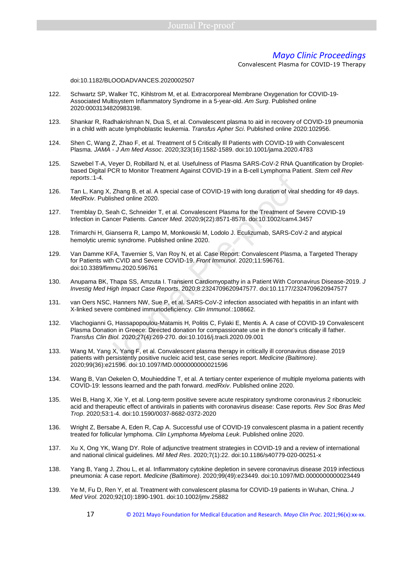Convalescent Plasma for COVID-19 Therapy

#### doi:10.1182/BLOODADVANCES.2020002507

- 122. Schwartz SP, Walker TC, Kihlstrom M, et al. Extracorporeal Membrane Oxygenation for COVID-19- Associated Multisystem Inflammatory Syndrome in a 5-year-old. Am Surg. Published online 2020:0003134820983198.
- 123. Shankar R, Radhakrishnan N, Dua S, et al. Convalescent plasma to aid in recovery of COVID-19 pneumonia in a child with acute lymphoblastic leukemia. Transfus Apher Sci. Published online 2020:102956.
- 124. Shen C, Wang Z, Zhao F, et al. Treatment of 5 Critically Ill Patients with COVID-19 with Convalescent Plasma. JAMA - J Am Med Assoc. 2020;323(16):1582-1589. doi:10.1001/jama.2020.4783
- 125. Szwebel T-A, Veyer D, Robillard N, et al. Usefulness of Plasma SARS-CoV-2 RNA Quantification by Dropletbased Digital PCR to Monitor Treatment Against COVID-19 in a B-cell Lymphoma Patient. Stem cell Rev reports.:1-4.
- 126. Tan L, Kang X, Zhang B, et al. A special case of COVID-19 with long duration of viral shedding for 49 days. MedRxiv. Published online 2020.
- 127. Tremblay D, Seah C, Schneider T, et al. Convalescent Plasma for the Treatment of Severe COVID-19 Infection in Cancer Patients. Cancer Med. 2020;9(22):8571-8578. doi:10.1002/cam4.3457
- 128. Trimarchi H, Gianserra R, Lampo M, Monkowski M, Lodolo J. Eculizumab, SARS-CoV-2 and atypical hemolytic uremic syndrome. Published online 2020.
- 129. Van Damme KFA, Tavernier S, Van Roy N, et al. Case Report: Convalescent Plasma, a Targeted Therapy for Patients with CVID and Severe COVID-19. Front Immunol. 2020;11:596761. doi:10.3389/fimmu.2020.596761
- 130. Anupama BK, Thapa SS, Amzuta I. Transient Cardiomyopathy in a Patient With Coronavirus Disease-2019. J Investig Med High Impact Case Reports. 2020;8:2324709620947577. doi:10.1177/2324709620947577
- 131. van Oers NSC, Hanners NW, Sue P, et al. SARS-CoV-2 infection associated with hepatitis in an infant with X-linked severe combined immunodeficiency. Clin Immunol.:108662.
- 132. Vlachogianni G, Hassapopoulou-Matamis H, Politis C, Fylaki E, Mentis A. A case of COVID-19 Convalescent Plasma Donation in Greece: Directed donation for compassionate use in the donor's critically ill father. Transfus Clin Biol. 2020;27(4):269-270. doi:10.1016/j.tracli.2020.09.001
- 133. Wang M, Yang X, Yang F, et al. Convalescent plasma therapy in critically ill coronavirus disease 2019 patients with persistently positive nucleic acid test, case series report. Medicine (Baltimore). 2020;99(36):e21596. doi:10.1097/MD.0000000000021596 X, Zhang B, et al. A special case of COVID-19 with long duration of viral<br>blished online 2020.<br>Seah C, Schneider T, et al. Convalescent Plasma for the Treatment of Sancer Patients. Cancer Med. 2020;9(22):8571-8578. doi:10.
- 134. Wang B, Van Oekelen O, Mouhieddine T, et al. A tertiary center experience of multiple myeloma patients with COVID-19: lessons learned and the path forward. medRxiv. Published online 2020.
- 135. Wei B, Hang X, Xie Y, et al. Long-term positive severe acute respiratory syndrome coronavirus 2 ribonucleic acid and therapeutic effect of antivirals in patients with coronavirus disease: Case reports. Rev Soc Bras Med Trop. 2020;53:1-4. doi:10.1590/0037-8682-0372-2020
- 136. Wright Z, Bersabe A, Eden R, Cap A. Successful use of COVID-19 convalescent plasma in a patient recently treated for follicular lymphoma. Clin Lymphoma Myeloma Leuk. Published online 2020.
- 137. Xu X, Ong YK, Wang DY. Role of adjunctive treatment strategies in COVID-19 and a review of international and national clinical guidelines. Mil Med Res. 2020;7(1):22. doi:10.1186/s40779-020-00251-x
- 138. Yang B, Yang J, Zhou L, et al. Inflammatory cytokine depletion in severe coronavirus disease 2019 infectious pneumonia: A case report. Medicine (Baltimore). 2020;99(49):e23449. doi:10.1097/MD.0000000000023449
- 139. Ye M, Fu D, Ren Y, et al. Treatment with convalescent plasma for COVID-19 patients in Wuhan, China. J Med Virol. 2020;92(10):1890-1901. doi:10.1002/jmv.25882
	- 17 © 2021 Mayo Foundation for Medical Education and Research. *Mayo Clin Proc*. 2021;96(x):xx-xx.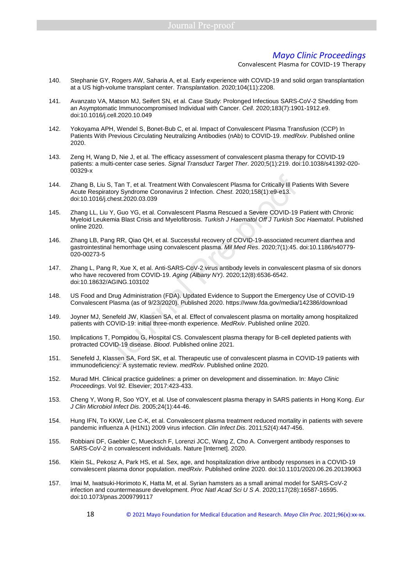- 140. Stephanie GY, Rogers AW, Saharia A, et al. Early experience with COVID-19 and solid organ transplantation at a US high-volume transplant center. Transplantation. 2020;104(11):2208.
- 141. Avanzato VA, Matson MJ, Seifert SN, et al. Case Study: Prolonged Infectious SARS-CoV-2 Shedding from an Asymptomatic Immunocompromised Individual with Cancer. Cell. 2020;183(7):1901-1912.e9. doi:10.1016/j.cell.2020.10.049
- 142. Yokoyama APH, Wendel S, Bonet-Bub C, et al. Impact of Convalescent Plasma Transfusion (CCP) In Patients With Previous Circulating Neutralizing Antibodies (nAb) to COVID-19. medRxiv. Published online 2020.
- 143. Zeng H, Wang D, Nie J, et al. The efficacy assessment of convalescent plasma therapy for COVID-19 patients: a multi-center case series. Signal Transduct Target Ther. 2020;5(1):219. doi:10.1038/s41392-020- 00329-x
- 144. Zhang B, Liu S, Tan T, et al. Treatment With Convalescent Plasma for Critically Ill Patients With Severe Acute Respiratory Syndrome Coronavirus 2 Infection. Chest. 2020;158(1):e9-e13. doi:10.1016/j.chest.2020.03.039
- 145. Zhang LL, Liu Y, Guo YG, et al. Convalescent Plasma Rescued a Severe COVID-19 Patient with Chronic Myeloid Leukemia Blast Crisis and Myelofibrosis. Turkish J Haematol Off J Turkish Soc Haematol. Published online 2020. S, Tan T, et al. Treatment With Convalescent Plasma for Critically III Pa<br>atory Syndrome Coronavirus 2 Infection. *Chest.* 2020;158(1):e9-e13.<br>
chest.2020.03.039<br>
1Y, Guo YG, et al. Convalescent Plasma Rescued a Severe COV
- 146. Zhang LB, Pang RR, Qiao QH, et al. Successful recovery of COVID-19-associated recurrent diarrhea and gastrointestinal hemorrhage using convalescent plasma. Mil Med Res. 2020;7(1):45. doi:10.1186/s40779- 020-00273-5
- 147. Zhang L, Pang R, Xue X, et al. Anti-SARS-CoV-2 virus antibody levels in convalescent plasma of six donors who have recovered from COVID-19. Aging (Albany NY). 2020;12(8):6536-6542. doi:10.18632/AGING.103102
- 148. US Food and Drug Administration (FDA). Updated Evidence to Support the Emergency Use of COVID-19 Convalescent Plasma (as of 9/23/2020). Published 2020. https://www.fda.gov/media/142386/download
- 149. Joyner MJ, Senefeld JW, Klassen SA, et al. Effect of convalescent plasma on mortality among hospitalized patients with COVID-19: initial three-month experience. MedRxiv. Published online 2020.
- 150. Implications T, Pompidou G, Hospital CS. Convalescent plasma therapy for B-cell depleted patients with protracted COVID-19 disease. Blood. Published online 2021.
- 151. Senefeld J, Klassen SA, Ford SK, et al. Therapeutic use of convalescent plasma in COVID-19 patients with immunodeficiency: A systematic review. medRxiv. Published online 2020.
- 152. Murad MH. Clinical practice guidelines: a primer on development and dissemination. In: Mayo Clinic Proceedings. Vol 92. Elsevier; 2017:423-433.
- 153. Cheng Y, Wong R, Soo YOY, et al. Use of convalescent plasma therapy in SARS patients in Hong Kong. Eur J Clin Microbiol Infect Dis. 2005;24(1):44-46.
- 154. Hung IFN, To KKW, Lee C-K, et al. Convalescent plasma treatment reduced mortality in patients with severe pandemic influenza A (H1N1) 2009 virus infection. Clin Infect Dis. 2011;52(4):447-456.
- 155. Robbiani DF, Gaebler C, Muecksch F, Lorenzi JCC, Wang Z, Cho A. Convergent antibody responses to SARS-CoV-2 in convalescent individuals. Nature [Internet]. 2020.
- 156. Klein SL, Pekosz A, Park HS, et al. Sex, age, and hospitalization drive antibody responses in a COVID-19 convalescent plasma donor population. medRxiv. Published online 2020. doi:10.1101/2020.06.26.20139063
- 157. Imai M, Iwatsuki-Horimoto K, Hatta M, et al. Syrian hamsters as a small animal model for SARS-CoV-2 infection and countermeasure development. Proc Natl Acad Sci U S A. 2020;117(28):16587-16595. doi:10.1073/pnas.2009799117
	- 18 © 2021 Mayo Foundation for Medical Education and Research. *Mayo Clin Proc*. 2021;96(x):xx-xx.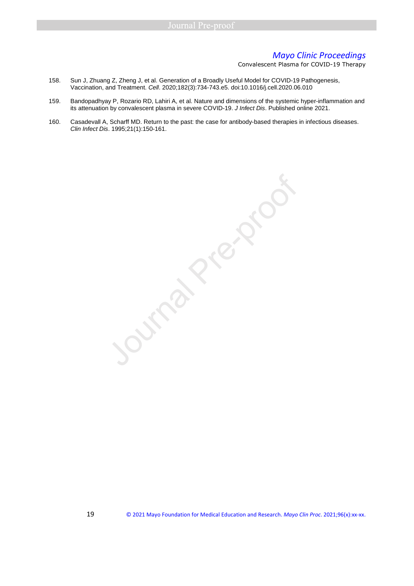Convalescent Plasma for COVID-19 Therapy

- 158. Sun J, Zhuang Z, Zheng J, et al. Generation of a Broadly Useful Model for COVID-19 Pathogenesis, Vaccination, and Treatment. Cell. 2020;182(3):734-743.e5. doi:10.1016/j.cell.2020.06.010
- 159. Bandopadhyay P, Rozario RD, Lahiri A, et al. Nature and dimensions of the systemic hyper-inflammation and its attenuation by convalescent plasma in severe COVID-19. J Infect Dis. Published online 2021.
- 160. Casadevall A, Scharff MD. Return to the past: the case for antibody-based therapies in infectious diseases. Clin Infect Dis. 1995;21(1):150-161.

Jump Pre-proof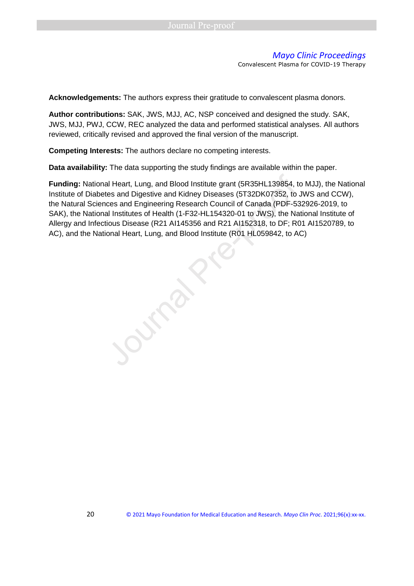Convalescent Plasma for COVID-19 Therapy

**Acknowledgements:** The authors express their gratitude to convalescent plasma donors.

**Author contributions:** SAK, JWS, MJJ, AC, NSP conceived and designed the study. SAK, JWS, MJJ, PWJ, CCW, REC analyzed the data and performed statistical analyses. All authors reviewed, critically revised and approved the final version of the manuscript.

**Competing Interests:** The authors declare no competing interests.

**Data availability:** The data supporting the study findings are available within the paper.

**Funding:** National Heart, Lung, and Blood Institute grant (5R35HL139854, to MJJ), the National Institute of Diabetes and Digestive and Kidney Diseases (5T32DK07352, to JWS and CCW), the Natural Sciences and Engineering Research Council of Canada (PDF-532926-2019, to SAK), the National Institutes of Health (1-F32-HL154320-01 to JWS), the National Institute of Allergy and Infectious Disease (R21 AI145356 and R21 AI152318, to DF; R01 AI1520789, to Funding: National Heart, Lung, and Blood Institute grant (5R35HL139854, to M<br>
Institute of Diabetes and Digestive and Kidney Diseases (5T32DK07352, to JW<br>
the Natural Sciences and Engineering Research Council of Canada (PD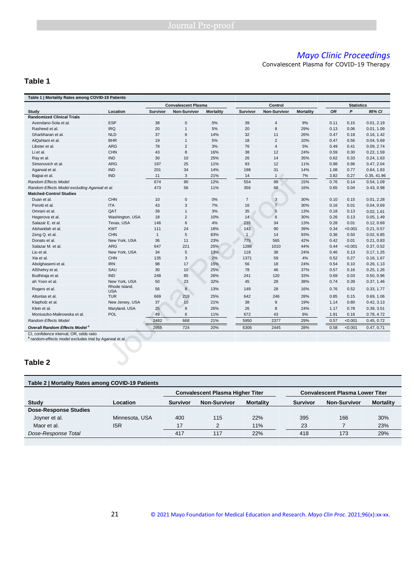Convalescent Plasma for COVID-19 Therapy

## **Table 1**

| Table 1   Mortality Rates among COVID-19 Patients       |                             |                            |                 |                  |                 |                         |                  |                   |         |             |
|---------------------------------------------------------|-----------------------------|----------------------------|-----------------|------------------|-----------------|-------------------------|------------------|-------------------|---------|-------------|
|                                                         |                             | <b>Convalescent Plasma</b> |                 | Control          |                 |                         |                  | <b>Statistics</b> |         |             |
| Study                                                   | Location                    | <b>Survivor</b>            | Non-Survivor    | <b>Mortality</b> | <b>Survivor</b> | Non-Survivor            | <b>Mortality</b> | <b>OR</b>         | P       | 95% CI      |
| <b>Randomized Clinical Trials</b>                       |                             |                            |                 |                  |                 |                         |                  |                   |         |             |
| Avendano-Sola et al.                                    | <b>ESP</b>                  | 38                         | $\mathbf 0$     | 0%               | 39              | $\overline{\mathbf{4}}$ | 9%               | 0.11              | 0.15    | 0.01, 2.19  |
| Rasheed et al.                                          | <b>IRQ</b>                  | 20                         | $\overline{1}$  | 5%               | 20              | 8                       | 29%              | 0.13              | 0.06    | 0.01, 1.09  |
| Gharbharan et al.                                       | <b>NLD</b>                  | 37                         | 6               | 14%              | 32              | 11                      | 26%              | 0.47              | 0.18    | 0.16, 1.42  |
| AlQahtani et al.                                        | <b>BHR</b>                  | 19                         | $\mathbf{1}$    | 5%               | 18              | $\overline{2}$          | 10%              | 0.47              | 0.56    | 0.04, 5.69  |
| Libster et al.                                          | <b>ARG</b>                  | 78                         | $\overline{2}$  | 3%               | 76              | $\overline{4}$          | 5%               | 0.49              | 0.41    | 0.09, 2.74  |
| Li et al.                                               | <b>CHN</b>                  | 43                         | 8               | 16%              | 38              | 12                      | 24%              | 0.59              | 0.30    | 0.22, 1.59  |
| Ray et al.                                              | <b>IND</b>                  | 30                         | 10              | 25%              | 26              | 14                      | 35%              | 0.62              | 0.33    | 0.24, 1.63  |
| Simonovich et al.                                       | ARG                         | 197                        | 25              | 11%              | 93              | 12                      | 11%              | 0.98              | 0.96    | 0.47, 2.04  |
| Agarwal et al.                                          | <b>IND</b>                  | 201                        | 34              | 14%              | 198             | 31                      | 14%              | 1.08              | 0.77    | 0.64, 1.83  |
| Bajpai et al.                                           | <b>IND</b>                  | 11                         | 3               | 21%              | 14              | $\mathbf{1}$            | 7%               | 3.82              | 0.27    | 0.35, 41.96 |
| <b>Random Effects Model</b>                             |                             | 674                        | 90              | 12%              | 554             | 99                      | 15%              | 0.76              | 0.14    | 0.54, 1.09  |
| Random Effects Model excluding Agarwal et al.           |                             | 473                        | 56              | 11%              | 356             | 68                      | 16%              | 0.65              | 0.04    | 0.43, 0.98  |
| <b>Matched-Control Studies</b>                          |                             |                            |                 |                  |                 |                         |                  |                   |         |             |
| Duan et al.                                             | <b>CHN</b>                  | 10                         | 0               | 0%               | $\overline{7}$  | 3                       | 30%              | 0.10              | 0.15    | 0.01, 2.28  |
| Perotti et al.                                          | <b>ITA</b>                  | 43                         | 3               | 7%               | 16              | $\overline{7}$          | 30%              | 0.16              | 0.01    | 0.04, 0.69  |
| Omrani et al.                                           | QAT                         | 39                         | $\mathbf{1}$    | 3%               | 35              | 5                       | 13%              | 0.18              | 0.13    | 0.02, 1.61  |
| Hegerova et al.                                         | Washington, USA             | 18                         | $\overline{2}$  | 10%              | 14              | 6                       | 30%              | 0.26              | 0.13    | 0.05, 1.49  |
| Salazar E. et al.                                       | Texas, USA                  | 146                        | 6               | 4%               | 235             | 34                      | 13%              | 0.28              | 0.01    | 0.12, 0.69  |
| Alsharidah et al.                                       | <b>KWT</b>                  | 111                        | 24              | 18%              | 143             | 90                      | 39%              | 0.34              | < 0.001 | 0.21, 0.57  |
| Zeng Q. et al.                                          | <b>CHN</b>                  | $\mathbf{1}$               | 5               | 83%              | $\overline{1}$  | 14                      | 93%              | 0.36              | 0.50    | 0.02, 6.85  |
| Donato et al.                                           | New York, USA               | 36                         | 11              | 23%              | 775             | 565                     | 42%              | 0.42              | 0.01    | 0.21, 0.83  |
| Salazar M. et al.                                       | <b>ARG</b>                  | 647                        | 221             | 25%              | 1288            | 1010                    | 44%              | 0.44              | < 0.001 | 0.37, 0.52  |
| Liu et al.                                              | New York, USA               | 34                         | 5               | 13%              | 118             | 38                      | 24%              | 0.46              | 0.13    | 0.17, 1.25  |
| Xia et al.                                              | <b>CHN</b>                  | 135                        | 3               | 2%               | 1371            | 59                      | 4%               | 0.52              | 0.27    | 0.16, 1.67  |
| Abolghasemi et al.                                      | <b>IRN</b>                  | 98                         | 17              | 15%              | 56              | 18                      | 24%              | 0.54              | 0.10    | 0.26, 1.13  |
| AlShehry et al.                                         | SAU                         | 30                         | 10 <sup>°</sup> | 25%              | 78              | 46                      | 37%              | 0.57              | 0.16    | 0.25, 1.26  |
| Budhiraja et al.                                        | <b>IND</b>                  | 248                        | 85              | 26%              | 241             | 120                     | 33%              | 0.69              | 0.03    | 0.50, 0.96  |
| ah Yoon et al.                                          | New York, USA               | 50                         | 23              | 32%              | 45              | 28                      | 38%              | 0.74              | 0.39    | 0.37, 1.46  |
| Rogers et al.                                           | Rhode Island,<br><b>USA</b> | 56                         | 8               | 13%              | 149             | 28                      | 16%              | 0.76              | 0.52    | 0.33, 1.77  |
| Altuntas et al.                                         | <b>TUR</b>                  | 669                        | 219             | 25%              | 642             | 246                     | 28%              | 0.85              | 0.15    | 0.69, 1.06  |
| Klapholz et al.                                         | New Jersey, USA             | 37                         | 10              | 21%              | 38              | 9                       | 19%              | 1.14              | 0.80    | 0.42, 3.13  |
| Klein et al.                                            | Maryland, USA               | 25                         | 9               | 26%              | 26              | 8                       | 24%              | 1.17              | 0.78    | 0.39, 3.51  |
| Moniuszko-Malinowska et al.                             | POL                         | 49                         | 6               | 11%              | 672             | 43                      | 6%               | 1.91              | 0.16    | 0.78, 4.72  |
| <b>Random Effects Model</b>                             |                             | 2482                       | 668             | 21%              | 5950            | 2377                    | 29%              | 0.57              | < 0.001 | 0.45, 0.72  |
| <b>Overall Random Effects Model <sup>a</sup></b>        |                             | 2955                       | 724             | 20%              | 6306            | 2445                    | 28%              | 0.58              | < 0.001 | 0.47, 0.71  |
| CI, confidence interval; OR, odds ratio                 |                             |                            |                 |                  |                 |                         |                  |                   |         |             |
| a random-effects model excludes trial by Agarwal et al. |                             |                            |                 |                  |                 |                         |                  |                   |         |             |
| Table 2                                                 |                             |                            |                 |                  |                 |                         |                  |                   |         |             |
|                                                         |                             |                            |                 |                  |                 |                         |                  |                   |         |             |

# **Table 2**

| Table 2   Mortality Rates among COVID-19 Patients |                |                                         |                     |                  |                                        |                     |                  |  |
|---------------------------------------------------|----------------|-----------------------------------------|---------------------|------------------|----------------------------------------|---------------------|------------------|--|
|                                                   |                | <b>Convalescent Plasma Higher Titer</b> |                     |                  | <b>Convalescent Plasma Lower Titer</b> |                     |                  |  |
| Study                                             | Location       | <b>Survivor</b>                         | <b>Non-Survivor</b> | <b>Mortality</b> | <b>Survivor</b>                        | <b>Non-Survivor</b> | <b>Mortality</b> |  |
| <b>Dose-Response Studies</b>                      |                |                                         |                     |                  |                                        |                     |                  |  |
| Joyner et al.                                     | Minnesota, USA | 400                                     | 115                 | 22%              | 395                                    | 166                 | 30%              |  |
| Maor et al.                                       | <b>ISR</b>     | 17                                      | 2                   | 11%              | 23                                     |                     | 23%              |  |
| Dose-Response Total                               |                | 417                                     | 117                 | 22%              | 418                                    | 173                 | 29%              |  |
|                                                   |                |                                         |                     |                  |                                        |                     |                  |  |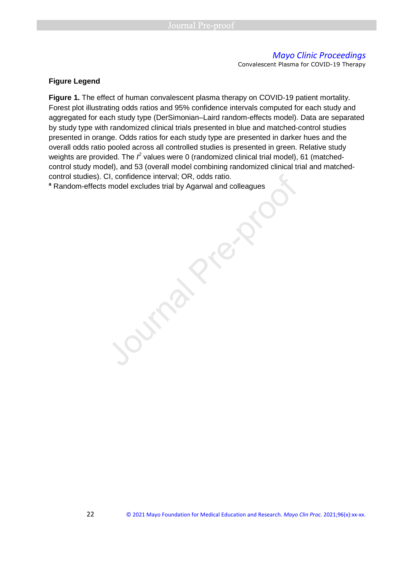Convalescent Plasma for COVID-19 Therapy

#### **Figure Legend**

Figure 1. The effect of human convalescent plasma therapy on COVID-19 patient mortality. Forest plot illustrating odds ratios and 95% confidence intervals computed for each study and aggregated for each study type (DerSimonian–Laird random-effects model). Data are separated by study type with randomized clinical trials presented in blue and matched-control studies presented in orange. Odds ratios for each study type are presented in darker hues and the overall odds ratio pooled across all controlled studies is presented in green. Relative study weights are provided. The  $l^2$  values were 0 (randomized clinical trial model), 61 (matchedcontrol study model), and 53 (overall model combining randomized clinical trial and matchedcontrol studies). CI, confidence interval; OR, odds ratio. control studies). CI, confidence interval; OR, odds ratio.<br>Random-effects model excludes trial by Agarwal and colleagues<br>Journal Pre-proof of the Superior Pre-proof of the Superior Pre-proof of the Superior Pre-proof of th

<sup>a</sup> Random-effects model excludes trial by Agarwal and colleagues